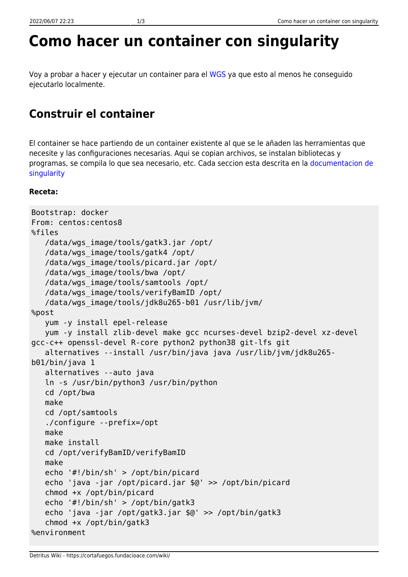# **Como hacer un container con singularity**

Voy a probar a hacer y ejecutar un container para el [WGS](https://cortafuegos.fundacioace.com/wiki/doku.php?id=genetica:pywgs) ya que esto al menos he conseguido ejecutarlo localmente.

# **Construir el container**

El container se hace partiendo de un container existente al que se le añaden las herramientas que necesite y las configuraciones necesarias. Aqui se copian archivos, se instalan bibliotecas y programas, se compila lo que sea necesario, etc. Cada seccion esta descrita en la [documentacion de](https://sylabs.io/guides/3.6/user-guide/definition_files.html) [singularity](https://sylabs.io/guides/3.6/user-guide/definition_files.html)

#### **Receta:**

```
Bootstrap: docker
From: centos:centos8
%files
    /data/wgs_image/tools/gatk3.jar /opt/
    /data/wgs_image/tools/gatk4 /opt/
    /data/wgs_image/tools/picard.jar /opt/
    /data/wgs_image/tools/bwa /opt/
    /data/wgs_image/tools/samtools /opt/
    /data/wgs_image/tools/verifyBamID /opt/
    /data/wgs_image/tools/jdk8u265-b01 /usr/lib/jvm/
%post
    yum -y install epel-release
    yum -y install zlib-devel make gcc ncurses-devel bzip2-devel xz-devel
gcc-c++ openssl-devel R-core python2 python38 git-lfs git
    alternatives --install /usr/bin/java java /usr/lib/jvm/jdk8u265-
b01/bin/java 1
    alternatives --auto java
    ln -s /usr/bin/python3 /usr/bin/python
    cd /opt/bwa
    make
    cd /opt/samtools
    ./configure --prefix=/opt
    make
    make install
    cd /opt/verifyBamID/verifyBamID
    make
    echo '#!/bin/sh' > /opt/bin/picard
    echo 'java -jar /opt/picard.jar $@' >> /opt/bin/picard
    chmod +x /opt/bin/picard
    echo '#!/bin/sh' > /opt/bin/gatk3
    echo 'java -jar /opt/gatk3.jar $@' >> /opt/bin/gatk3
    chmod +x /opt/bin/gatk3
%environment
```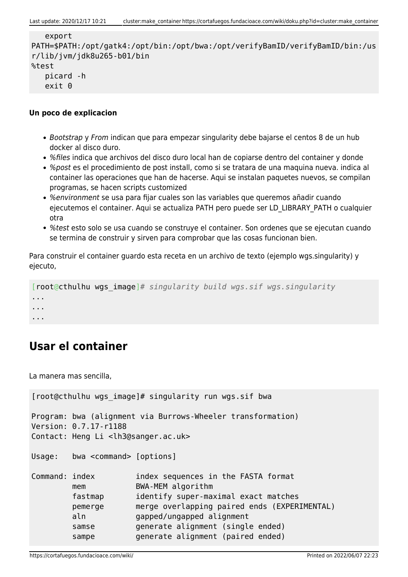```
 export
PATH=$PATH:/opt/gatk4:/opt/bin:/opt/bwa:/opt/verifyBamID/verifyBamID/bin:/us
r/lib/jvm/jdk8u265-b01/bin
%test
    picard -h
    exit 0
```
#### **Un poco de explicacion**

- Bootstrap y From indican que para empezar singularity debe bajarse el centos 8 de un hub docker al disco duro.
- %files indica que archivos del disco duro local han de copiarse dentro del container y donde
- %post es el procedimiento de post install, como si se tratara de una maquina nueva. indica al container las operaciones que han de hacerse. Aqui se instalan paquetes nuevos, se compilan programas, se hacen scripts customized
- %environment se usa para fijar cuales son las variables que queremos añadir cuando ejecutemos el container. Aqui se actualiza PATH pero puede ser LD\_LIBRARY\_PATH o cualquier otra
- %test esto solo se usa cuando se construye el container. Son ordenes que se ejecutan cuando se termina de construir y sirven para comprobar que las cosas funcionan bien.

Para construir el container guardo esta receta en un archivo de texto (ejemplo wgs.singularity) y ejecuto,

```
[root@cthulhu wgs_image]# singularity build wgs.sif wgs.singularity
...
...
...
```
## **Usar el container**

La manera mas sencilla,

```
[root@cthulhu wgs_image]# singularity run wgs.sif bwa
Program: bwa (alignment via Burrows-Wheeler transformation)
Version: 0.7.17-r1188
Contact: Heng Li <lh3@sanger.ac.uk>
Usage: bwa <command> [options]
Command: index index sequences in the FASTA format
        mem BWA-MEM algorithm
         fastmap identify super-maximal exact matches
         pemerge merge overlapping paired ends (EXPERIMENTAL)
         aln gapped/ungapped alignment
        samse generate alignment (single ended)
        sampe generate alignment (paired ended)
```